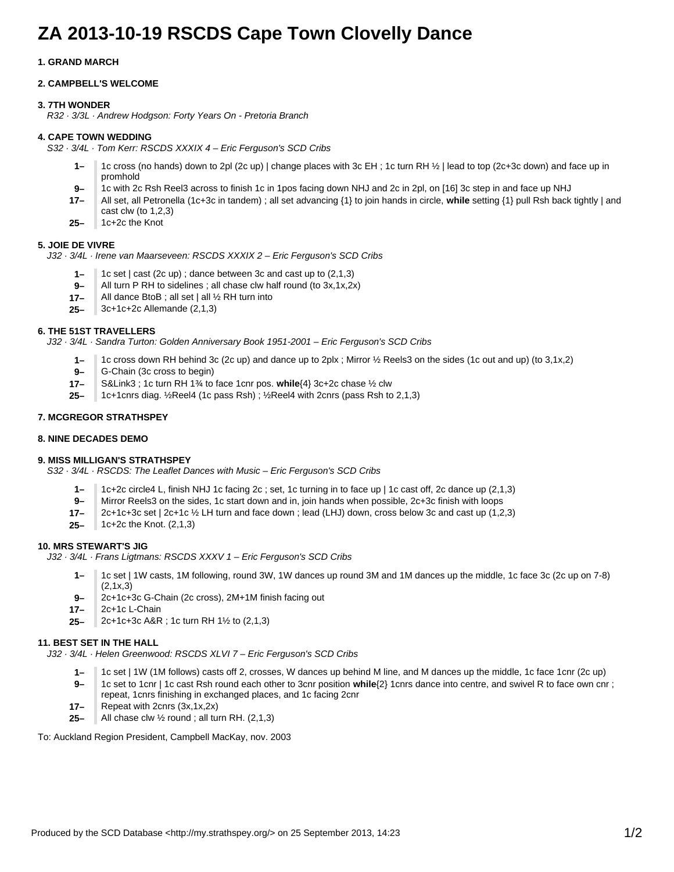# **ZA 2013-10-19 RSCDS Cape Town Clovelly Dance**

## **1. GRAND MARCH**

## **2. CAMPBELL'S WELCOME**

## **3. 7TH WONDER**

R32 · 3/3L · Andrew Hodgson: Forty Years On - Pretoria Branch

## **4. CAPE TOWN WEDDING**

S32 · 3/4L · Tom Kerr: RSCDS XXXIX 4 – Eric Ferguson's SCD Cribs

- **1–** 1c cross (no hands) down to 2pl (2c up) | change places with 3c EH ; 1c turn RH ½ | lead to top (2c+3c down) and face up in promhold
- **9–** 1c with 2c Rsh Reel3 across to finish 1c in 1pos facing down NHJ and 2c in 2pl, on [16] 3c step in and face up NHJ
- **17–** All set, all Petronella (1c+3c in tandem) ; all set advancing {1} to join hands in circle, **while** setting {1} pull Rsh back tightly | and cast clw (to 1,2,3)
- **25–** 1c+2c the Knot

### **5. JOIE DE VIVRE**

J32 · 3/4L · Irene van Maarseveen: RSCDS XXXIX 2 – Eric Ferguson's SCD Cribs

- **1–** 1c set | cast (2c up) ; dance between 3c and cast up to (2,1,3)
- **9–** All turn P RH to sidelines ; all chase clw half round (to 3x,1x,2x)
- **17–** All dance BtoB ; all set | all ½ RH turn into
- **25–** 3c+1c+2c Allemande (2,1,3)

### **6. THE 51ST TRAVELLERS**

J32 · 3/4L · Sandra Turton: Golden Anniversary Book 1951-2001 – Eric Ferguson's SCD Cribs

- **1–** 1c cross down RH behind 3c (2c up) and dance up to 2plx ; Mirror ½ Reels3 on the sides (1c out and up) (to 3,1x,2)
- **9–** G-Chain (3c cross to begin)
- **17–** S&Link3 ; 1c turn RH 1¾ to face 1cnr pos. **while**{4} 3c+2c chase ½ clw
- **25–** 1c+1cnrs diag. ½Reel4 (1c pass Rsh) ; ½Reel4 with 2cnrs (pass Rsh to 2,1,3)

### **7. MCGREGOR STRATHSPEY**

#### **8. NINE DECADES DEMO**

### **9. MISS MILLIGAN'S STRATHSPEY**

S32 · 3/4L · RSCDS: The Leaflet Dances with Music – Eric Ferguson's SCD Cribs

- **1–** 1c+2c circle4 L, finish NHJ 1c facing 2c ; set, 1c turning in to face up | 1c cast off, 2c dance up (2,1,3)
- **9–** Mirror Reels3 on the sides, 1c start down and in, join hands when possible, 2c+3c finish with loops
- **17–** 2c+1c+3c set | 2c+1c ½ LH turn and face down ; lead (LHJ) down, cross below 3c and cast up (1,2,3)
- **25–** 1c+2c the Knot. (2,1,3)

### **10. MRS STEWART'S JIG**

J32 · 3/4L · Frans Ligtmans: RSCDS XXXV 1 – Eric Ferguson's SCD Cribs

- **1–** 1c set | 1W casts, 1M following, round 3W, 1W dances up round 3M and 1M dances up the middle, 1c face 3c (2c up on 7-8) (2,1x,3)
- **9–** 2c+1c+3c G-Chain (2c cross), 2M+1M finish facing out
- **17–** 2c+1c L-Chain
- **25–** 2c+1c+3c A&R ; 1c turn RH 1½ to (2,1,3)

### **11. BEST SET IN THE HALL**

J32 · 3/4L · Helen Greenwood: RSCDS XLVI 7 – Eric Ferguson's SCD Cribs

- **1–** 1c set | 1W (1M follows) casts off 2, crosses, W dances up behind M line, and M dances up the middle, 1c face 1cnr (2c up)
- **9–** 1c set to 1cnr | 1c cast Rsh round each other to 3cnr position **while**{2} 1cnrs dance into centre, and swivel R to face own cnr ; repeat, 1cnrs finishing in exchanged places, and 1c facing 2cnr
- **17–** Repeat with 2cnrs (3x,1x,2x)
- **25–** All chase clw  $\frac{1}{2}$  round; all turn RH. (2,1,3)

To: Auckland Region President, Campbell MacKay, nov. 2003